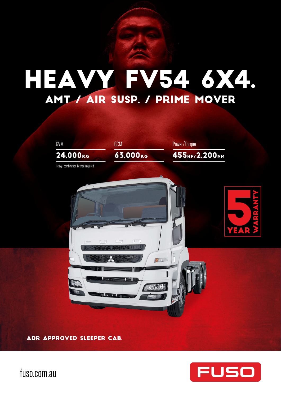# HEAVY FV54 6X4. AMT / AIR SUSP. / PRIME MOVER



ADR APPROVED SLEEPER CAB.



fuso.com.au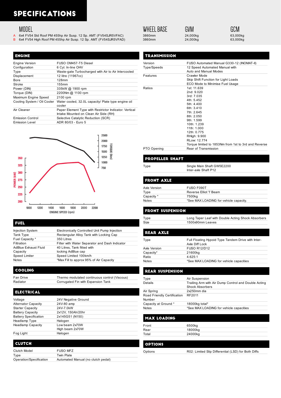### **SPECIFICATIONS**

### **MODEL**

- A 6x4 FV54 Std Roof PM 455hp Air Susp. 12 Sp. AMT (FV54SJR5VFAC) 3860mm 24,000kg 24,000kg 63,000kg 63,000kg 63,000kg<br>B 6x4 FV54 High Roof PM 455hp Air Susp. 12 Sp. AMT (FV54SJR5VFAD) 3860mm 24,000kg 24,000kg
- 6x4 FV54 High Roof PM 455hp Air Susp. 12 Sp. AMT (FV54SJR5VFAD)

| <b>ENGINE</b>               |                                                                                                 |
|-----------------------------|-------------------------------------------------------------------------------------------------|
| <b>Engine Version</b>       | FUSO OM457-T5 Diesel                                                                            |
| Configuration               | 6 Cyl. In-line OHV                                                                              |
| Type                        | Waste-gate Turbocharged with Air to Air Intercooled                                             |
| Displacement                | 12 litre (11967cc)                                                                              |
| Bore                        | $128$ mm                                                                                        |
| Stroke                      | 155mm                                                                                           |
| Power (DIN)                 | 335kW @ 1900 rpm                                                                                |
| Torque (DIN)                | 2200Nm @ 1100 rpm                                                                               |
| Maximum Engine Speed        | 2100 rpm                                                                                        |
| Cooling System / Oil Cooler | Water cooled, 32.0L capacity/ Plate type engine oil<br>cooler                                   |
| Air Cleaner                 | Paper Element Type with Restrictor Indicator. Vertical<br>Intake Mounted on Clean Air Side (RH) |
| <b>Emission Control</b>     | Selective Catalytic Reduction (SCR)                                                             |
| Emission Level              | ADR 80/03 - Euro 5                                                                              |

2500

| Version     | FUSO Automated Manual G330-12 (INOMAT-II)                              |
|-------------|------------------------------------------------------------------------|
| Type/Speeds | 12 Speed Automated Manual with<br>Auto and Manual Modes                |
| Features    | Crawler Mode                                                           |
|             | Skip Shift Function for Light Loads<br>ECO Mode to Minimise Fuel Usage |
| Ratios      | 1st: 11.639                                                            |
|             | 2nd: 9.020                                                             |
|             | 3rd: 7.035                                                             |
|             | 4th. 5452                                                              |
|             | 5th: 4.400                                                             |
|             | 6th.3410                                                               |
|             | 7th.2645                                                               |
|             | 8th.2050                                                               |
|             | 9th: 1.599                                                             |
|             | 10th: 1239                                                             |
|             | 11th: 1.000                                                            |
|             | 12th: 0.775                                                            |
|             | RHigh: 9.900                                                           |
|             | RI ow: 12 774                                                          |
|             | Torque limited to 1853Nm from 1st to 3rd and Reverse                   |
| PTO Opening | Rear of Transmission                                                   |

### **PROPELLER SHAFT**

Type Single Main Shaft GW5E2200

**EDONT AVIE** 

**WHEEL BASE** 

### Inter-axle Shaft P12

| FUSO F090T                             |
|----------------------------------------|
| Reverse Elliot 'l' Beam                |
| 7500kg                                 |
| *See MAX LOADING for vehicle capacity. |
|                                        |

### **FRONT SUSPENSION**

Type Long Taper Leaf with Double Acting Shock Absorbers Size 1500x90mm Leaves

### **REAR AXLE**

| Type         | Full Floating Hypoid Type Tandem Drive with Inter-<br>Axle Diff Lock |
|--------------|----------------------------------------------------------------------|
| Axle Version | <b>FUSO R12/D12</b>                                                  |
| Capacity*    | 21600kg                                                              |
| Ratio        | $4.625 \cdot 1$                                                      |
| Notes        | *See MAX LOADING for vehicle capacities                              |
|              |                                                                      |

### **REAR SUSPENSION**

| Type                                  | Air Suspension                                                                 |
|---------------------------------------|--------------------------------------------------------------------------------|
| Details                               | Trailing Arm with Air Dump Control and Double Acting<br><b>Shock Absorbers</b> |
| Air Spring                            | 2x250mm dia                                                                    |
| Road Friendly Certification<br>Number | RF2011                                                                         |
| Capacity at Ground *                  | 18000kg total*                                                                 |
| <b>Notes</b>                          | *See MAX LOADING for vehicle capacities                                        |

### **MAX LOADING**

| Front | 6500kg  |  |
|-------|---------|--|
| Rear  | 18000kg |  |
| Total | 24000kg |  |
|       |         |  |

### **OPTIONS**

Options R02: Limited Slip Differential (LSD) for Both Diffs

#### 2000 TOROUE 1750 1500  $\sum_{i=1}^{n}$ 1250 350 1000  $325$ 750 300 POWER (KW) 275 250  $225$ 200 2200 1000  $1200$ 1400 1600 1800 2000 **ENGINE SPEED (rpm)**

#### **FUEL**

| <b>Injection System</b> | Electronically Controlled Unit Pump Injection  |
|-------------------------|------------------------------------------------|
| Tank Type               | Rectangular Alloy Tank with Locking Cap        |
| Fuel Capacity *         | 350 Litres                                     |
| Filtration              | Filter with Water Separator and Dash Indicator |
| AdBlue Exhaust Fluid    | 40 Litres, Tank fitted with                    |
| Capacity                | locking AdBlue cap                             |
| Speed Limiter           | Speed Limited 100km/h                          |
| <b>Notes</b>            | *Max Fill to approx 95% of Air Capacity        |

### COOLING

Fan Drive **Thermo modulated continuous control (Viscous)**<br>
Radiator Corrugated Fin with Expansion Tank Corrugated Fin with Expansion Tank

### **ELECTRICAL**

| Voltage                      | 24V Negative Ground |
|------------------------------|---------------------|
| <b>Alternator Capacity</b>   | 24V-80 amp          |
| <b>Starter Capacity</b>      | 24V-7.0kW           |
| <b>Battery Capacity</b>      | 2x12V, 150Ah/20hr   |
| <b>Battery Specification</b> | 2x145G51 (N150)     |
| Headlamp Type                | Halogen             |
| <b>Headlamp Capacity</b>     | Low beam 2x70W      |
|                              | High beam 2x70W     |
| Fog Light                    | Halogen             |

| I CLUTCH                |                                    |
|-------------------------|------------------------------------|
| Clutch Model            | <b>FUSO MFZ</b>                    |
| Type                    | Twin Plate                         |
| Operation/Specification | Automated Manual (no clutch pedal) |

GVM

GCM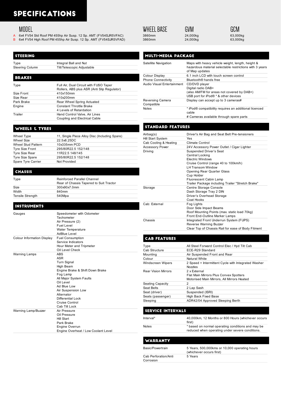### **SPECIFICATIONS**

### MODEL

- A 6x4 FV54 Std Roof PM 455hp Air Susp. 12 Sp. AMT (FV54SJR5VFAC) 3860mm 24,000kg 63,000kg
- B 6x4 FV54 High Roof PM 455hp Air Susp. 12 Sp. AMT (FV54SJR5VFAD) 3860mm 24,000kg 63,000kg

| <b>STEERING</b> |                                             |
|-----------------|---------------------------------------------|
| Type            | Integral Ball and Nut                       |
| Steering Column | Tilt/Telescopic Adjustable                  |
|                 |                                             |
| <b>BRAKES</b>   |                                             |
| Type            | Full Air, Dual Circuit with FUSO Taper      |
|                 | Rollers, ABS plus ASR (Anti Slip Regulator) |
| Size Front      | 410x150mm                                   |
| Size Rear       | 410x200mm                                   |
| Park Brake      | Rear Wheel Spring Actuated                  |
| Engine          | <b>Constant Throttle Brake</b>              |
|                 | 4 Levels of Retardation                     |
| Trailer         | Hand Control Valve, Air Lines               |
|                 | Coupling and Electrical Cable               |

### WHEELS & TYRES

| Wheel Type                | 11, Single Piece Alloy Disc (Including Spare) |
|---------------------------|-----------------------------------------------|
| Wheel Size                | 22.5x8.25DC                                   |
| <b>Wheel Stud Pattern</b> | 10x335mm PCD                                  |
| Tyre Size Front           | 295/80R22.5 152/148                           |
| Tyre Size Rear            | 11R22.5 148/145                               |
| Tyre Size Spare           | 295/80R22.5 152/148                           |
| Spare Tyre Carrier        | Not Provided                                  |

### **CHASSIS**

| Type             | Reinforced Parallel Channel             |  |
|------------------|-----------------------------------------|--|
|                  | Rear of Chassis Tapered to Suit Tractor |  |
| Size             | 300x90x7.0mm                            |  |
| Width            | 840mm                                   |  |
| Tensile Strength | 540Mpa                                  |  |
|                  |                                         |  |

| <b>INSTRUMENTS</b>         |                                                                                                                                                                                                                                                               |
|----------------------------|---------------------------------------------------------------------------------------------------------------------------------------------------------------------------------------------------------------------------------------------------------------|
| Gauges                     | Speedometer with Odometer<br>Tachometer<br>Air Pressure (2)<br><b>Fuel Level</b><br>Water Temperature<br><b>AdBlue Level</b>                                                                                                                                  |
| Colour Information Display | <b>Fuel Consumption</b><br>Service Indicators<br>Hour Meter and Tripmeter<br>Oil Level Check                                                                                                                                                                  |
| <b>Warning Lamps</b>       | <b>ARS</b><br><b>ASR</b><br><b>Turn Signal</b><br>High Beam<br>Engine Brake & Shift Down Brake<br>Fog Lamp<br>All Major System Faults<br>Oil Level<br>Ad Blue Low<br>Air Suspension Low<br>Alternator<br>Differential Lock<br>Cruise Control<br>Cab Tilt Lock |
| Warning Lamp/Buzzer        | Air Pressure<br>Oil Pressure<br><b>Hill Start</b><br>Park Brake<br>Engine Overrun<br>Engine Overheat / Low Coolant Level                                                                                                                                      |

| WHEEL BASE |  |
|------------|--|
| 3860mm     |  |

GVM

GCM

**MULTI-MEDIA PACKAGE** 

| Satellite Navigation           | Maps with heavy vehicle weight, length, height &<br>hazardous material selectable restrictions with 3 years<br>of Map updates |
|--------------------------------|-------------------------------------------------------------------------------------------------------------------------------|
| Colour Display                 | 6.1 inch LCD with touch screen control                                                                                        |
| <b>Phone Connectivity</b>      | Bluetooth® hands free                                                                                                         |
| Audio Visual Entertainment     | CD/DVD player<br>Digital radio DAB+<br>(also AM/FM for areas not covered by DAB+)<br>USB port for iPod® * & other devices     |
| Reversing Camera<br>Compatible | Display can accept up to 3 cameras#                                                                                           |
| <b>Notes</b>                   | * iPod® compatibility requires an additional licenced<br>cable<br># Cameras available through spare parts                     |

### **STANDARD FEATURES**

| Airbag(s)              | Driver's Air Bag and Seat Belt Pre-tensioners                                                                                                                                                                                                                                      |  |
|------------------------|------------------------------------------------------------------------------------------------------------------------------------------------------------------------------------------------------------------------------------------------------------------------------------|--|
| Hill Start System      | Yes                                                                                                                                                                                                                                                                                |  |
| Cab Cooling & Heating  | Climate Control                                                                                                                                                                                                                                                                    |  |
| <b>Accessory Power</b> | 24V Accessory Power Outlet / Cigar Lighter                                                                                                                                                                                                                                         |  |
| Driving                | <b>Suspended Driver's Seat</b><br>Central Locking<br><b>Electric Windows</b><br>Cruise Control (range 40 to 100km/h)<br><b>LH Transom Window</b><br><b>Opening Rear Quarter Glass</b><br>Cup Holder<br>Fluorescent Cabin Lamp<br>Trailer Package including Trailer "Stretch Brake" |  |
| Storage                | Centre Storage Console<br>Dash Storage Tray 2 DIN<br>Driver's Overhead Storage<br>Coat Hooks                                                                                                                                                                                       |  |
| Cab: External          | Fog Lights<br>Door Side Impact Beams<br>Roof Mounting Points (max. static load 70kg)<br>Front End-Outline Marker Lamps                                                                                                                                                             |  |
| Chassis                | Integrated Front Underrun System (FUPS)<br>Reverse Warning Buzzer<br>Clear Top of Chassis Rail for ease of Body Fitment                                                                                                                                                            |  |

### **CAB FEATURES**

| Type                       | All Steel Forward Control Elec / Hyd Tilt Cab                                                        |  |
|----------------------------|------------------------------------------------------------------------------------------------------|--|
| Cab Structure              | ECE-R29 Standard                                                                                     |  |
| Mounting                   | Air Suspended Front and Rear                                                                         |  |
| Colour                     | Natural White                                                                                        |  |
| <b>Windscreen Wipers</b>   | 2 Speed + Intermittent Cycle with Integrated Washer<br>Nozzles                                       |  |
| <b>Rear Vision Mirrors</b> | 2 x External<br>Flat Main Mirrors Plus Convex Spotters<br>Motorised Main Mirrors, All Mirrors Heated |  |
| Seating Capacity           | 2                                                                                                    |  |
| Seat Belts                 | 2 Lap Sash                                                                                           |  |
| Seat (driver)              | Suspended (ISRI)                                                                                     |  |
| Seats (passenger)          | High Back Fixed Base                                                                                 |  |
| Sleeping                   | ADR42/04 Approved Sleeping Berth                                                                     |  |

SERVICE INTERVALS

| Interval*    | 40,000km, 12 Months or 800 Hours (whichever occurs<br>first)                                         |
|--------------|------------------------------------------------------------------------------------------------------|
| <b>Notes</b> | * based on normal operating conditions and may be<br>reduced when operating under severe conditions. |

| <b>WARRANTY</b>                   |                                                                            |  |
|-----------------------------------|----------------------------------------------------------------------------|--|
| Basic/Powertrain                  | 5 Years, 500,000 kms or 10,000 operating hours<br>(whichever occurs first) |  |
| Cab Perforation/Anti<br>Corrosion | 5 Years                                                                    |  |